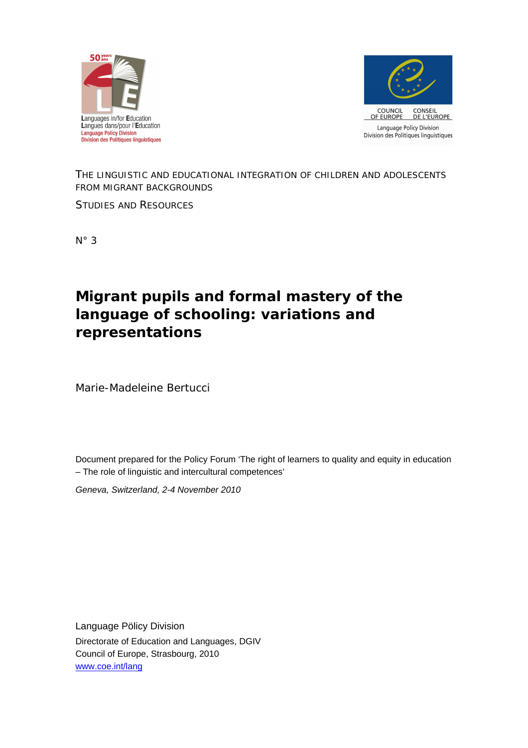



# *THE LINGUISTIC AND EDUCATIONAL INTEGRATION OF CHILDREN AND ADOLESCENTS FROM MIGRANT BACKGROUNDS*

*STUDIES AND RESOURCES*

N° 3

# **Migrant pupils and formal mastery of the language of schooling: variations and representations**

Marie-Madeleine Bertucci

Document prepared for the Policy Forum 'The right of learners to quality and equity in education – The role of linguistic and intercultural competences'

*Geneva, Switzerland, 2-4 November 2010*

Language Pölicy Division Directorate of Education and Languages, DGIV Council of Europe, Strasbourg, 2010 [www.coe.int/lang](http://www.coe.int/lang)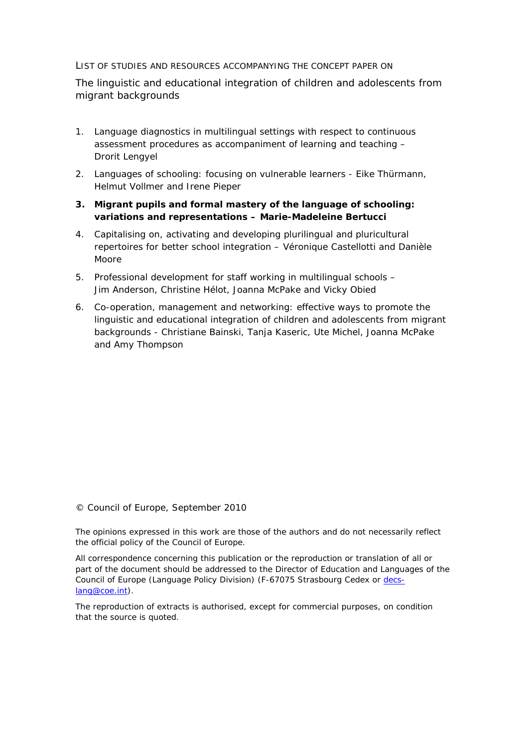LIST OF STUDIES AND RESOURCES ACCOMPANYING THE CONCEPT PAPER ON

The linguistic and educational integration of children and adolescents from migrant backgrounds

- 1. *Language diagnostics in multilingual settings with respect to continuous assessment procedures as accompaniment of learning and teaching* – Drorit Lengyel
- 2. *Languages of schooling: focusing on vulnerable learners* Eike Thürmann, Helmut Vollmer and Irene Pieper
- **3.** *Migrant pupils and formal mastery of the language of schooling: variations and representations –* **Marie-Madeleine Bertucci**
- 4. *Capitalising on, activating and developing plurilingual and pluricultural repertoires for better school integration* – Véronique Castellotti and Danièle Moore
- 5. *Professional development for staff working in multilingual schools –* Jim Anderson, Christine Hélot, Joanna McPake and Vicky Obied
- 6. *Co-operation, management and networking: effective ways to promote the linguistic and educational integration of children and adolescents from migrant backgrounds -* Christiane Bainski, Tanja Kaseric, Ute Michel, Joanna McPake and Amy Thompson

© Council of Europe, September 2010

The opinions expressed in this work are those of the authors and do not necessarily reflect the official policy of the Council of Europe.

All correspondence concerning this publication or the reproduction or translation of all or part of the document should be addressed to the Director of Education and Languages of the Council of Europe (Language Policy Division) (F-67075 Strasbourg Cedex or [decs](mailto:decs-lang@coe.int)[lang@coe.int\)](mailto:decs-lang@coe.int).

The reproduction of extracts is authorised, except for commercial purposes, on condition that the source is quoted.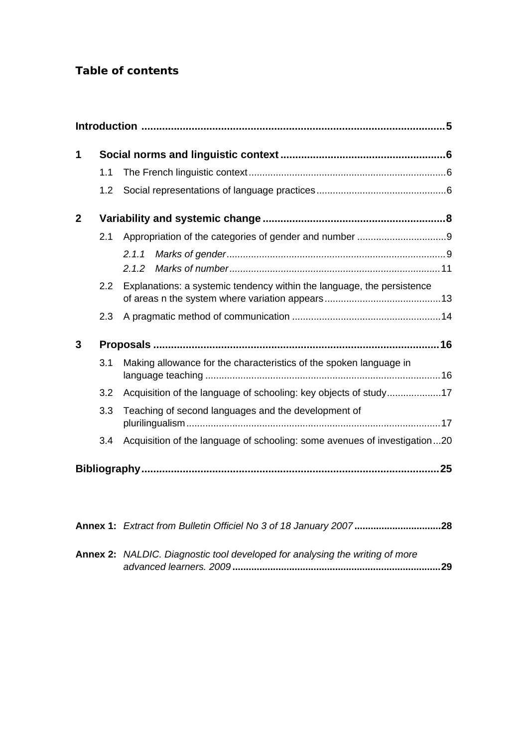| 1            |     |                                                                           |  |
|--------------|-----|---------------------------------------------------------------------------|--|
|              | 1.1 |                                                                           |  |
|              | 1.2 |                                                                           |  |
| $\mathbf{2}$ |     |                                                                           |  |
|              | 2.1 |                                                                           |  |
|              |     | 2.1.1<br>2.1.2                                                            |  |
|              | 2.2 | Explanations: a systemic tendency within the language, the persistence    |  |
|              | 2.3 |                                                                           |  |
| 3            |     |                                                                           |  |
|              | 3.1 | Making allowance for the characteristics of the spoken language in        |  |
|              | 3.2 | Acquisition of the language of schooling: key objects of study17          |  |
|              | 3.3 | Teaching of second languages and the development of                       |  |
|              | 3.4 | Acquisition of the language of schooling: some avenues of investigation20 |  |
|              |     |                                                                           |  |

| Annex 1: Extract from Bulletin Officiel No 3 of 18 January 200728                   |  |
|-------------------------------------------------------------------------------------|--|
| <b>Annex 2:</b> NALDIC. Diagnostic tool developed for analysing the writing of more |  |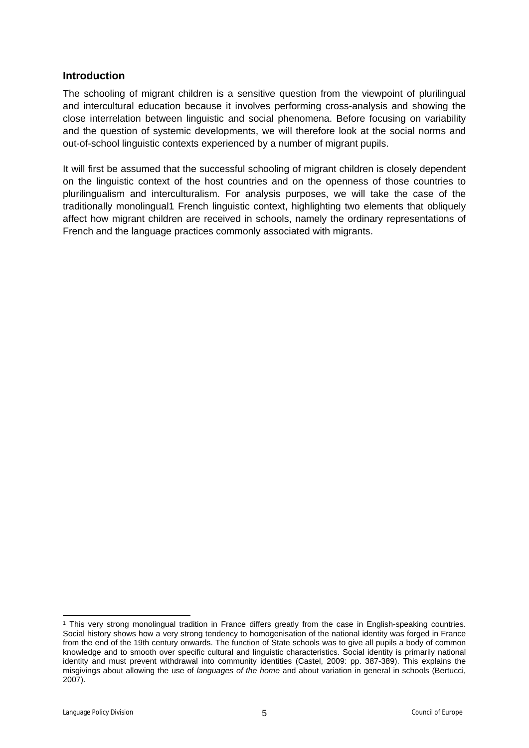## <span id="page-4-0"></span>**Introduction**

The schooling of migrant children is a sensitive question from the viewpoint of plurilingual and intercultural education because it involves performing cross-analysis and showing the close interrelation between linguistic and social phenomena. Before focusing on variability and the question of systemic developments, we will therefore look at the social norms and out-of-school linguistic contexts experienced by a number of migrant pupils.

It will first be assumed that the successful schooling of migrant children is closely dependent on the linguistic context of the host countries and on the openness of those countries to plurilingualism and interculturalism. For analysis purposes, we will take the case of the traditionally monolingual1 French linguistic context, highlighting two elements that obliquely affect how migrant children are received in schools, namely the ordinary representations of French and the language practices commonly associated with migrants.

<sup>1</sup> This very strong monolingual tradition in France differs greatly from the case in English-speaking countries. Social history shows how a very strong tendency to homogenisation of the national identity was forged in France from the end of the 19th century onwards. The function of State schools was to give all pupils a body of common knowledge and to smooth over specific cultural and linguistic characteristics. Social identity is primarily national identity and must prevent withdrawal into community identities (Castel, 2009: pp. 387-389). This explains the misgivings about allowing the use of *languages of the home* and about variation in general in schools (Bertucci, 2007).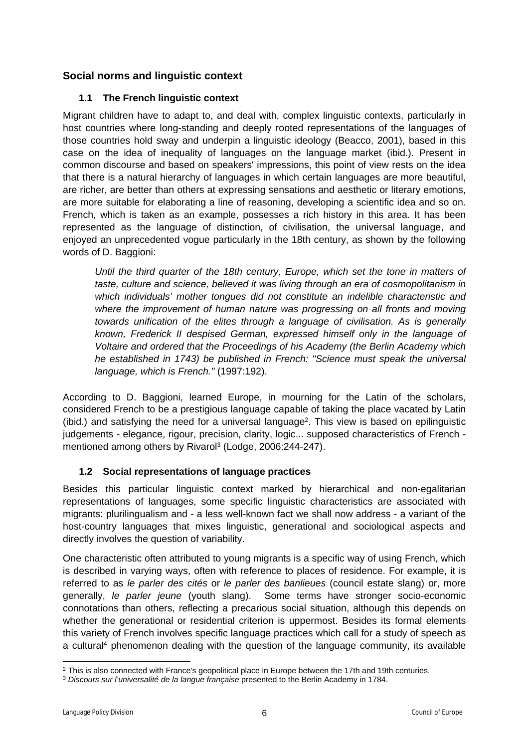# <span id="page-5-0"></span>**Social norms and linguistic context**

## <span id="page-5-1"></span>**1.1 The French linguistic context**

Migrant children have to adapt to, and deal with, complex linguistic contexts, particularly in host countries where long-standing and deeply rooted representations of the languages of those countries hold sway and underpin a linguistic ideology (Beacco, 2001), based in this case on the idea of inequality of languages on the language market (ibid.). Present in common discourse and based on speakers' impressions, this point of view rests on the idea that there is a natural hierarchy of languages in which certain languages are more beautiful, are richer, are better than others at expressing sensations and aesthetic or literary emotions, are more suitable for elaborating a line of reasoning, developing a scientific idea and so on. French, which is taken as an example, possesses a rich history in this area. It has been represented as the language of distinction, of civilisation, the universal language, and enjoyed an unprecedented vogue particularly in the 18th century, as shown by the following words of D. Baggioni:

*Until the third quarter of the 18th century, Europe, which set the tone in matters of taste, culture and science, believed it was living through an era of cosmopolitanism in which individuals' mother tongues did not constitute an indelible characteristic and where the improvement of human nature was progressing on all fronts and moving towards unification of the elites through a language of civilisation. As is generally known, Frederick II despised German, expressed himself only in the language of Voltaire and ordered that the Proceedings of his Academy (the Berlin Academy which he established in 1743) be published in French: "Science must speak the universal language, which is French."* (1997:192).

According to D. Baggioni, learned Europe, in mourning for the Latin of the scholars, considered French to be a prestigious language capable of taking the place vacated by Latin (ibid.) and satisfying the need for a universal language<sup>2</sup>. This view is based on epilinguistic judgements - elegance, rigour, precision, clarity, logic... supposed characteristics of French mentioned among others by Rivarol<sup>3</sup> (Lodge, 2006:244-247).

## <span id="page-5-2"></span>**1.2 Social representations of language practices**

Besides this particular linguistic context marked by hierarchical and non-egalitarian representations of languages, some specific linguistic characteristics are associated with migrants: plurilingualism and - a less well-known fact we shall now address - a variant of the host-country languages that mixes linguistic, generational and sociological aspects and directly involves the question of variability.

One characteristic often attributed to young migrants is a specific way of using French, which is described in varying ways, often with reference to places of residence. For example, it is referred to as *le parler des cités* or *le parler des banlieues* (council estate slang) or, more generally, *le parler jeune* (youth slang).Some terms have stronger socio-economic connotations than others, reflecting a precarious social situation, although this depends on whether the generational or residential criterion is uppermost. Besides its formal elements this variety of French involves specific language practices which call for a study of speech as a cultural<sup>4</sup> phenomenon dealing with the question of the language community, its available

<sup>&</sup>lt;sup>2</sup> This is also connected with France's geopolitical place in Europe between the 17th and 19th centuries.

<sup>3</sup> *Discours sur l'universalité de la langue française* presented to the Berlin Academy in 1784.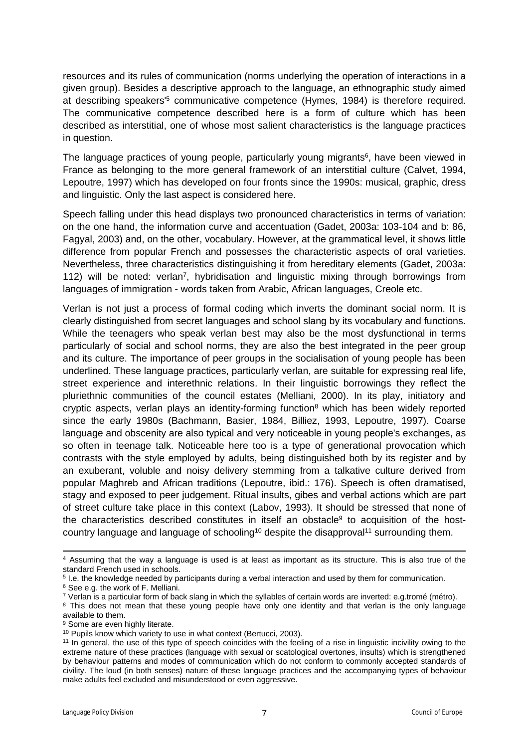resources and its rules of communication (norms underlying the operation of interactions in a given group). Besides a descriptive approach to the language, an ethnographic study aimed at describing speakers<sup>'5</sup> communicative competence (Hymes, 1984) is therefore required. The communicative competence described here is a form of culture which has been described as interstitial, one of whose most salient characteristics is the language practices in question.

The language practices of young people, particularly young migrants<sup>6</sup>, have been viewed in France as belonging to the more general framework of an interstitial culture (Calvet, 1994, Lepoutre, 1997) which has developed on four fronts since the 1990s: musical, graphic, dress and linguistic. Only the last aspect is considered here.

Speech falling under this head displays two pronounced characteristics in terms of variation: on the one hand, the information curve and accentuation (Gadet, 2003a: 103-104 and b: 86, Fagyal, 2003) and, on the other, vocabulary. However, at the grammatical level, it shows little difference from popular French and possesses the characteristic aspects of oral varieties. Nevertheless, three characteristics distinguishing it from hereditary elements (Gadet, 2003a: 112) will be noted: verlan<sup>7</sup>, hybridisation and linguistic mixing through borrowings from languages of immigration - words taken from Arabic, African languages, Creole etc.

Verlan is not just a process of formal coding which inverts the dominant social norm. It is clearly distinguished from secret languages and school slang by its vocabulary and functions. While the teenagers who speak verlan best may also be the most dysfunctional in terms particularly of social and school norms, they are also the best integrated in the peer group and its culture. The importance of peer groups in the socialisation of young people has been underlined. These language practices, particularly verlan, are suitable for expressing real life, street experience and interethnic relations. In their linguistic borrowings they reflect the pluriethnic communities of the council estates (Melliani, 2000). In its play, initiatory and cryptic aspects, verlan plays an identity-forming function<sup>8</sup> which has been widely reported since the early 1980s (Bachmann, Basier, 1984, Billiez, 1993, Lepoutre, 1997). Coarse language and obscenity are also typical and very noticeable in young people's exchanges, as so often in teenage talk. Noticeable here too is a type of generational provocation which contrasts with the style employed by adults, being distinguished both by its register and by an exuberant, voluble and noisy delivery stemming from a talkative culture derived from popular Maghreb and African traditions (Lepoutre, ibid.: 176). Speech is often dramatised, stagy and exposed to peer judgement. Ritual insults, gibes and verbal actions which are part of street culture take place in this context (Labov, 1993). It should be stressed that none of the characteristics described constitutes in itself an obstacle<sup>9</sup> to acquisition of the hostcountry language and language of schooling<sup>10</sup> despite the disapproval<sup>11</sup> surrounding them.

<sup>9</sup> Some are even highly literate.

<sup>4</sup> Assuming that the way a language is used is at least as important as its structure. This is also true of the standard French used in schools.

<sup>5</sup> I.e. the knowledge needed by participants during a verbal interaction and used by them for communication.

<sup>6</sup> See e.g. the work of F. Melliani.

 $7$  Verlan is a particular form of back slang in which the syllables of certain words are inverted: e.g.tromé (métro).

<sup>&</sup>lt;sup>8</sup> This does not mean that these young people have only one identity and that verlan is the only language available to them.

<sup>&</sup>lt;sup>10</sup> Pupils know which variety to use in what context (Bertucci, 2003).

<sup>11</sup> In general, the use of this type of speech coincides with the feeling of a rise in linguistic incivility owing to the extreme nature of these practices (language with sexual or scatological overtones, insults) which is strengthened by behaviour patterns and modes of communication which do not conform to commonly accepted standards of civility. The loud (in both senses) nature of these language practices and the accompanying types of behaviour make adults feel excluded and misunderstood or even aggressive.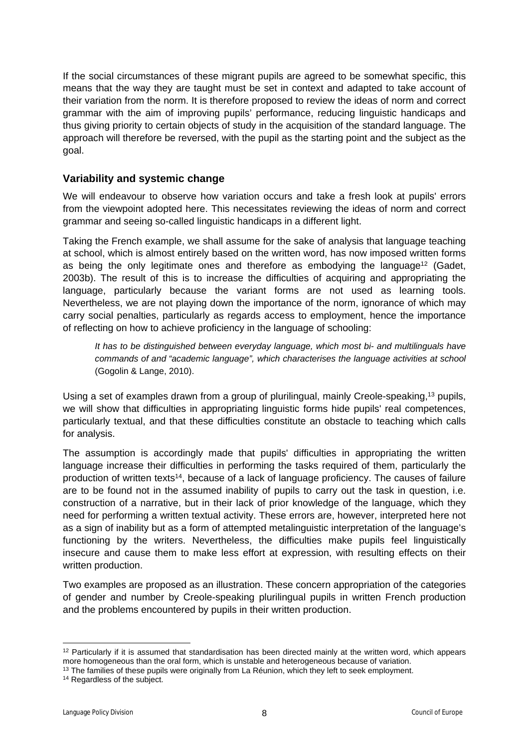If the social circumstances of these migrant pupils are agreed to be somewhat specific, this means that the way they are taught must be set in context and adapted to take account of their variation from the norm. It is therefore proposed to review the ideas of norm and correct grammar with the aim of improving pupils' performance, reducing linguistic handicaps and thus giving priority to certain objects of study in the acquisition of the standard language. The approach will therefore be reversed, with the pupil as the starting point and the subject as the goal.

## <span id="page-7-0"></span>**Variability and systemic change**

We will endeavour to observe how variation occurs and take a fresh look at pupils' errors from the viewpoint adopted here. This necessitates reviewing the ideas of norm and correct grammar and seeing so-called linguistic handicaps in a different light.

Taking the French example, we shall assume for the sake of analysis that language teaching at school, which is almost entirely based on the written word, has now imposed written forms as being the only legitimate ones and therefore as embodying the language<sup>12</sup> (Gadet, 2003b). The result of this is to increase the difficulties of acquiring and appropriating the language, particularly because the variant forms are not used as learning tools. Nevertheless, we are not playing down the importance of the norm, ignorance of which may carry social penalties, particularly as regards access to employment, hence the importance of reflecting on how to achieve proficiency in the language of schooling:

*It has to be distinguished between everyday language, which most bi- and multilinguals have commands of and "academic language", which characterises the language activities at school* (Gogolin & Lange, 2010).

Using a set of examples drawn from a group of plurilingual, mainly Creole-speaking,<sup>13</sup> pupils, we will show that difficulties in appropriating linguistic forms hide pupils' real competences, particularly textual, and that these difficulties constitute an obstacle to teaching which calls for analysis.

The assumption is accordingly made that pupils' difficulties in appropriating the written language increase their difficulties in performing the tasks required of them, particularly the production of written texts<sup>14</sup>, because of a lack of language proficiency. The causes of failure are to be found not in the assumed inability of pupils to carry out the task in question, i.e. construction of a narrative, but in their lack of prior knowledge of the language, which they need for performing a written textual activity. These errors are, however, interpreted here not as a sign of inability but as a form of attempted metalinguistic interpretation of the language's functioning by the writers. Nevertheless, the difficulties make pupils feel linguistically insecure and cause them to make less effort at expression, with resulting effects on their written production.

Two examples are proposed as an illustration. These concern appropriation of the categories of gender and number by Creole-speaking plurilingual pupils in written French production and the problems encountered by pupils in their written production.

<sup>&</sup>lt;sup>12</sup> Particularly if it is assumed that standardisation has been directed mainly at the written word, which appears more homogeneous than the oral form, which is unstable and heterogeneous because of variation.

<sup>&</sup>lt;sup>13</sup> The families of these pupils were originally from La Réunion, which they left to seek employment.

<sup>&</sup>lt;sup>14</sup> Regardless of the subject.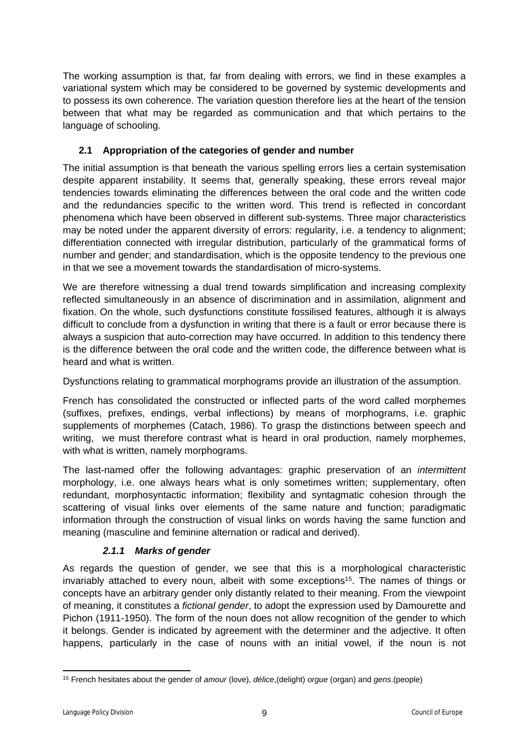The working assumption is that, far from dealing with errors, we find in these examples a variational system which may be considered to be governed by systemic developments and to possess its own coherence. The variation question therefore lies at the heart of the tension between that what may be regarded as communication and that which pertains to the language of schooling.

## <span id="page-8-0"></span>**2.1 Appropriation of the categories of gender and number**

The initial assumption is that beneath the various spelling errors lies a certain systemisation despite apparent instability. It seems that, generally speaking, these errors reveal major tendencies towards eliminating the differences between the oral code and the written code and the redundancies specific to the written word. This trend is reflected in concordant phenomena which have been observed in different sub-systems. Three major characteristics may be noted under the apparent diversity of errors: regularity, i.e. a tendency to alignment; differentiation connected with irregular distribution, particularly of the grammatical forms of number and gender; and standardisation, which is the opposite tendency to the previous one in that we see a movement towards the standardisation of micro-systems.

We are therefore witnessing a dual trend towards simplification and increasing complexity reflected simultaneously in an absence of discrimination and in assimilation, alignment and fixation. On the whole, such dysfunctions constitute fossilised features, although it is always difficult to conclude from a dysfunction in writing that there is a fault or error because there is always a suspicion that auto-correction may have occurred. In addition to this tendency there is the difference between the oral code and the written code, the difference between what is heard and what is written.

Dysfunctions relating to grammatical morphograms provide an illustration of the assumption.

French has consolidated the constructed or inflected parts of the word called morphemes (suffixes, prefixes, endings, verbal inflections) by means of morphograms, i.e. graphic supplements of morphemes (Catach, 1986). To grasp the distinctions between speech and writing, we must therefore contrast what is heard in oral production, namely morphemes, with what is written, namely morphograms.

The last-named offer the following advantages: graphic preservation of an *intermittent* morphology, i.e. one always hears what is only sometimes written; supplementary, often redundant, morphosyntactic information; flexibility and syntagmatic cohesion through the scattering of visual links over elements of the same nature and function; paradigmatic information through the construction of visual links on words having the same function and meaning (masculine and feminine alternation or radical and derived).

# <span id="page-8-1"></span>*2.1.1 Marks of gender*

As regards the question of gender, we see that this is a morphological characteristic invariably attached to every noun, albeit with some exceptions<sup>15</sup>. The names of things or concepts have an arbitrary gender only distantly related to their meaning. From the viewpoint of meaning, it constitutes a *fictional gender*, to adopt the expression used by Damourette and Pichon (1911-1950). The form of the noun does not allow recognition of the gender to which it belongs. Gender is indicated by agreement with the determiner and the adjective. It often happens, particularly in the case of nouns with an initial vowel, if the noun is not

<sup>15</sup> French hesitates about the gender of *amour* (love), *délice*,(delight) *orgue* (organ) and *gens*.(people)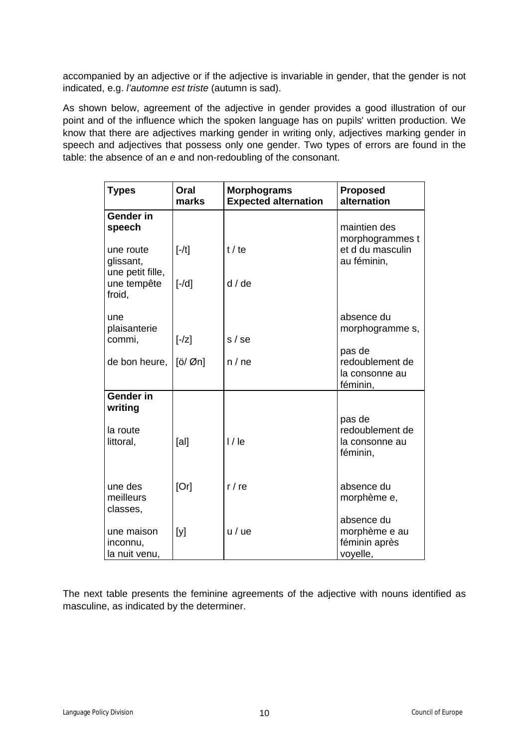accompanied by an adjective or if the adjective is invariable in gender, that the gender is not indicated, e.g. *l'automne est triste* (autumn is sad).

As shown below, agreement of the adjective in gender provides a good illustration of our point and of the influence which the spoken language has on pupils' written production. We know that there are adjectives marking gender in writing only, adjectives marking gender in speech and adjectives that possess only one gender. Two types of errors are found in the table: the absence of an *e* and non-redoubling of the consonant.

| <b>Types</b>                              | Oral<br>marks     | <b>Morphograms</b><br><b>Expected alternation</b> | <b>Proposed</b><br>alternation                           |
|-------------------------------------------|-------------------|---------------------------------------------------|----------------------------------------------------------|
| <b>Gender in</b><br>speech                |                   |                                                   | maintien des<br>morphogrammes t                          |
| une route<br>glissant,                    | $[-/t]$           | t / te                                            | et d du masculin<br>au féminin,                          |
| une petit fille,<br>une tempête<br>froid, | $[-/d]$           | d/de                                              |                                                          |
| une<br>plaisanterie                       |                   | s/se                                              | absence du<br>morphogramme s,                            |
| commi,                                    | $[-/z]$           |                                                   | pas de                                                   |
| de bon heure,                             | $[ö/\emptyset n]$ | n / ne                                            | redoublement de<br>la consonne au<br>féminin,            |
| <b>Gender in</b><br>writing               |                   |                                                   |                                                          |
| la route<br>littoral,                     | [al]              | $1/$ le                                           | pas de<br>redoublement de<br>la consonne au<br>féminin,  |
| une des<br>meilleurs<br>classes,          | [Or]              | $r/r$ e                                           | absence du<br>morphème e,                                |
| une maison<br>inconnu,<br>la nuit venu,   | [y]               | u / ue                                            | absence du<br>morphème e au<br>féminin après<br>voyelle, |

The next table presents the feminine agreements of the adjective with nouns identified as masculine, as indicated by the determiner.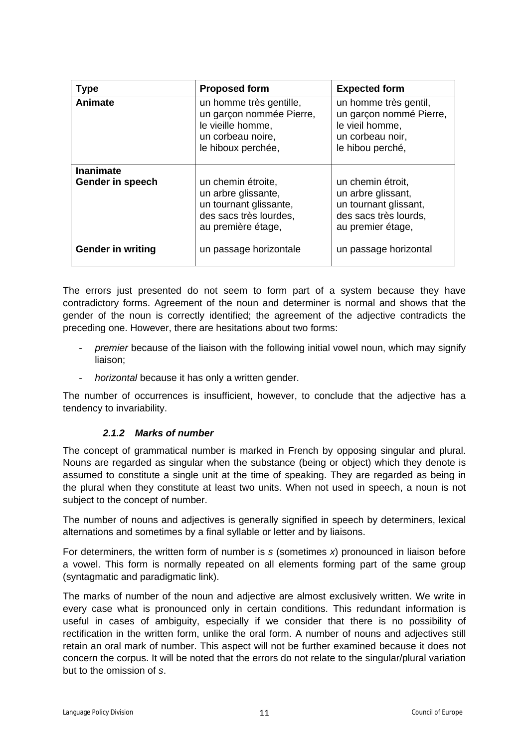| <b>Type</b>              | <b>Proposed form</b>                                                                                                | <b>Expected form</b>                                                                                           |
|--------------------------|---------------------------------------------------------------------------------------------------------------------|----------------------------------------------------------------------------------------------------------------|
| Animate                  | un homme très gentille,<br>un garçon nommée Pierre,<br>le vieille homme,<br>un corbeau noire,<br>le hiboux perchée, | un homme très gentil,<br>un garçon nommé Pierre,<br>le vieil homme,<br>un corbeau noir,<br>le hibou perché,    |
| <b>Inanimate</b>         |                                                                                                                     |                                                                                                                |
| Gender in speech         | un chemin étroite,<br>un arbre glissante,<br>un tournant glissante,<br>des sacs très lourdes,<br>au première étage, | un chemin étroit.<br>un arbre glissant,<br>un tournant glissant,<br>des sacs très lourds,<br>au premier étage, |
| <b>Gender in writing</b> | un passage horizontale                                                                                              | un passage horizontal                                                                                          |

The errors just presented do not seem to form part of a system because they have contradictory forms. Agreement of the noun and determiner is normal and shows that the gender of the noun is correctly identified; the agreement of the adjective contradicts the preceding one. However, there are hesitations about two forms:

- premier because of the liaison with the following initial vowel noun, which may signify liaison;
- *horizontal* because it has only a written gender.

The number of occurrences is insufficient, however, to conclude that the adjective has a tendency to invariability.

## <span id="page-10-0"></span>*2.1.2 Marks of number*

The concept of grammatical number is marked in French by opposing singular and plural. Nouns are regarded as singular when the substance (being or object) which they denote is assumed to constitute a single unit at the time of speaking. They are regarded as being in the plural when they constitute at least two units. When not used in speech, a noun is not subject to the concept of number.

The number of nouns and adjectives is generally signified in speech by determiners, lexical alternations and sometimes by a final syllable or letter and by liaisons.

For determiners, the written form of number is *s* (sometimes *x*) pronounced in liaison before a vowel. This form is normally repeated on all elements forming part of the same group (syntagmatic and paradigmatic link).

The marks of number of the noun and adjective are almost exclusively written. We write in every case what is pronounced only in certain conditions. This redundant information is useful in cases of ambiguity, especially if we consider that there is no possibility of rectification in the written form, unlike the oral form. A number of nouns and adjectives still retain an oral mark of number. This aspect will not be further examined because it does not concern the corpus. It will be noted that the errors do not relate to the singular/plural variation but to the omission of *s*.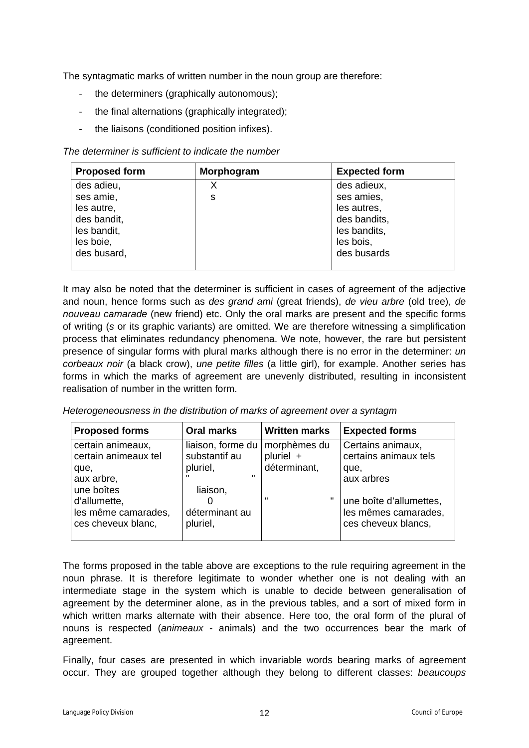The syntagmatic marks of written number in the noun group are therefore:

- the determiners (graphically autonomous);
- the final alternations (graphically integrated);
- the liaisons (conditioned position infixes).

#### *The determiner is sufficient to indicate the number*

| <b>Proposed form</b> | Morphogram | <b>Expected form</b> |
|----------------------|------------|----------------------|
| des adieu,           | х          | des adieux,          |
| ses amie,            | s          | ses amies,           |
| les autre,           |            | les autres,          |
| des bandit,          |            | des bandits,         |
| les bandit,          |            | les bandits,         |
| les boie,            |            | les bois,            |
| des busard,          |            | des busards          |
|                      |            |                      |

It may also be noted that the determiner is sufficient in cases of agreement of the adjective and noun, hence forms such as *des grand ami* (great friends), *de vieu arbre* (old tree), *de nouveau camarade* (new friend) etc. Only the oral marks are present and the specific forms of writing (*s* or its graphic variants) are omitted. We are therefore witnessing a simplification process that eliminates redundancy phenomena. We note, however, the rare but persistent presence of singular forms with plural marks although there is no error in the determiner: *un corbeaux noir* (a black crow), *une petite filles* (a little girl), for example. Another series has forms in which the marks of agreement are unevenly distributed, resulting in inconsistent realisation of number in the written form.

*Heterogeneousness in the distribution of marks of agreement over a syntagm*

| <b>Proposed forms</b>                                     | <b>Oral marks</b>                  | <b>Written marks</b>      | <b>Expected forms</b>                                                  |
|-----------------------------------------------------------|------------------------------------|---------------------------|------------------------------------------------------------------------|
| certain animeaux,<br>certain animeaux tel                 | liaison, forme du<br>substantif au | morphèmes du<br>pluriel + | Certains animaux,<br>certains animaux tels                             |
| que,                                                      | pluriel,<br>ш                      | déterminant,              | que,                                                                   |
| aux arbre,<br>une boîtes                                  | liaison,                           |                           | aux arbres                                                             |
| d'allumette,<br>les même camarades,<br>ces cheveux blanc, | déterminant au<br>pluriel,         | ш                         | une boîte d'allumettes,<br>les mêmes camarades,<br>ces cheveux blancs, |

The forms proposed in the table above are exceptions to the rule requiring agreement in the noun phrase. It is therefore legitimate to wonder whether one is not dealing with an intermediate stage in the system which is unable to decide between generalisation of agreement by the determiner alone, as in the previous tables, and a sort of mixed form in which written marks alternate with their absence. Here too, the oral form of the plural of nouns is respected (*animeaux* - animals) and the two occurrences bear the mark of agreement.

Finally, four cases are presented in which invariable words bearing marks of agreement occur. They are grouped together although they belong to different classes: *beaucoups*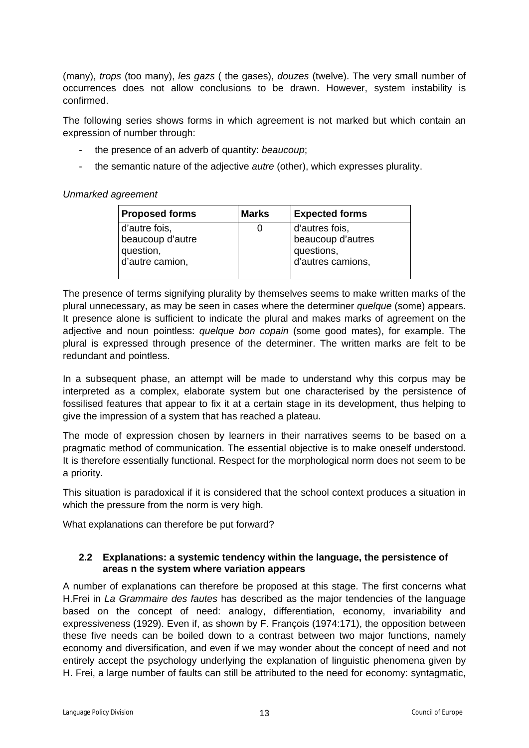(many), *trops* (too many), *les gazs* ( the gases), *douzes* (twelve). The very small number of occurrences does not allow conclusions to be drawn. However, system instability is confirmed.

The following series shows forms in which agreement is not marked but which contain an expression of number through:

- the presence of an adverb of quantity: *beaucoup*;
- the semantic nature of the adjective *autre* (other), which expresses plurality.

#### *Unmarked agreement*

| <b>Proposed forms</b>                                             | <b>Marks</b> | <b>Expected forms</b>                                                  |
|-------------------------------------------------------------------|--------------|------------------------------------------------------------------------|
| d'autre fois,<br>beaucoup d'autre<br>question,<br>d'autre camion, | Ü            | d'autres fois,<br>beaucoup d'autres<br>questions,<br>d'autres camions, |
|                                                                   |              |                                                                        |

The presence of terms signifying plurality by themselves seems to make written marks of the plural unnecessary, as may be seen in cases where the determiner *quelque* (some) appears. It presence alone is sufficient to indicate the plural and makes marks of agreement on the adjective and noun pointless: *quelque bon copain* (some good mates), for example. The plural is expressed through presence of the determiner. The written marks are felt to be redundant and pointless.

In a subsequent phase, an attempt will be made to understand why this corpus may be interpreted as a complex, elaborate system but one characterised by the persistence of fossilised features that appear to fix it at a certain stage in its development, thus helping to give the impression of a system that has reached a plateau.

The mode of expression chosen by learners in their narratives seems to be based on a pragmatic method of communication. The essential objective is to make oneself understood. It is therefore essentially functional. Respect for the morphological norm does not seem to be a priority.

This situation is paradoxical if it is considered that the school context produces a situation in which the pressure from the norm is very high.

What explanations can therefore be put forward?

#### <span id="page-12-0"></span>**2.2 Explanations: a systemic tendency within the language, the persistence of areas n the system where variation appears**

A number of explanations can therefore be proposed at this stage. The first concerns what H.Frei in *La Grammaire des fautes* has described as the major tendencies of the language based on the concept of need: analogy, differentiation, economy, invariability and expressiveness (1929). Even if, as shown by F. François (1974:171), the opposition between these five needs can be boiled down to a contrast between two major functions, namely economy and diversification, and even if we may wonder about the concept of need and not entirely accept the psychology underlying the explanation of linguistic phenomena given by H. Frei, a large number of faults can still be attributed to the need for economy: syntagmatic,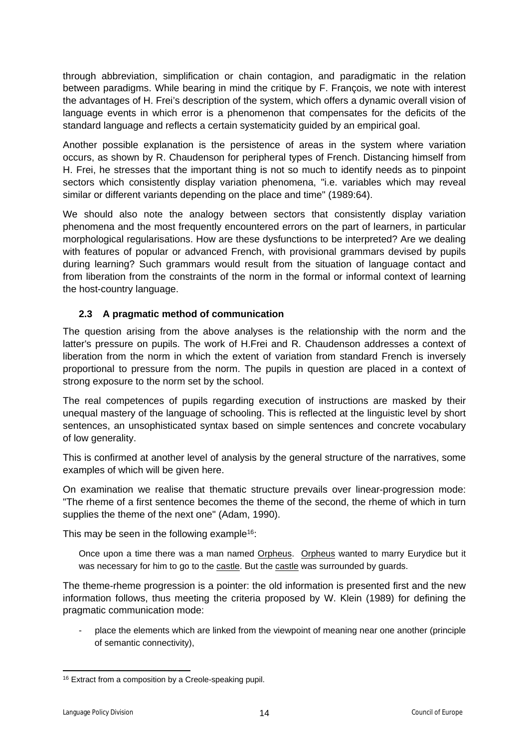through abbreviation, simplification or chain contagion, and paradigmatic in the relation between paradigms. While bearing in mind the critique by F. François, we note with interest the advantages of H. Frei's description of the system, which offers a dynamic overall vision of language events in which error is a phenomenon that compensates for the deficits of the standard language and reflects a certain systematicity guided by an empirical goal.

Another possible explanation is the persistence of areas in the system where variation occurs, as shown by R. Chaudenson for peripheral types of French. Distancing himself from H. Frei, he stresses that the important thing is not so much to identify needs as to pinpoint sectors which consistently display variation phenomena, "i.e. variables which may reveal similar or different variants depending on the place and time" (1989:64).

We should also note the analogy between sectors that consistently display variation phenomena and the most frequently encountered errors on the part of learners, in particular morphological regularisations. How are these dysfunctions to be interpreted? Are we dealing with features of popular or advanced French, with provisional grammars devised by pupils during learning? Such grammars would result from the situation of language contact and from liberation from the constraints of the norm in the formal or informal context of learning the host-country language.

## <span id="page-13-0"></span>**2.3 A pragmatic method of communication**

The question arising from the above analyses is the relationship with the norm and the latter's pressure on pupils. The work of H.Frei and R. Chaudenson addresses a context of liberation from the norm in which the extent of variation from standard French is inversely proportional to pressure from the norm. The pupils in question are placed in a context of strong exposure to the norm set by the school.

The real competences of pupils regarding execution of instructions are masked by their unequal mastery of the language of schooling. This is reflected at the linguistic level by short sentences, an unsophisticated syntax based on simple sentences and concrete vocabulary of low generality.

This is confirmed at another level of analysis by the general structure of the narratives, some examples of which will be given here.

On examination we realise that thematic structure prevails over linear-progression mode: "The rheme of a first sentence becomes the theme of the second, the rheme of which in turn supplies the theme of the next one" (Adam, 1990).

This may be seen in the following example<sup>16</sup>:

Once upon a time there was a man named Orpheus. Orpheus wanted to marry Eurydice but it was necessary for him to go to the castle. But the castle was surrounded by guards.

The theme-rheme progression is a pointer: the old information is presented first and the new information follows, thus meeting the criteria proposed by W. Klein (1989) for defining the pragmatic communication mode:

- place the elements which are linked from the viewpoint of meaning near one another (principle of semantic connectivity),

<sup>16</sup> Extract from a composition by a Creole-speaking pupil.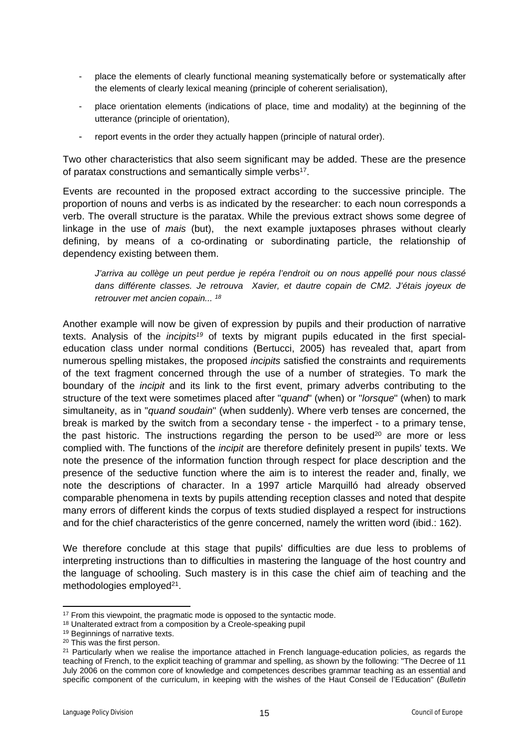- place the elements of clearly functional meaning systematically before or systematically after the elements of clearly lexical meaning (principle of coherent serialisation),
- place orientation elements (indications of place, time and modality) at the beginning of the utterance (principle of orientation),
- report events in the order they actually happen (principle of natural order).

Two other characteristics that also seem significant may be added. These are the presence of paratax constructions and semantically simple verbs<sup>17</sup>.

Events are recounted in the proposed extract according to the successive principle. The proportion of nouns and verbs is as indicated by the researcher: to each noun corresponds a verb. The overall structure is the paratax. While the previous extract shows some degree of linkage in the use of *mais* (but), the next example juxtaposes phrases without clearly defining, by means of a co-ordinating or subordinating particle, the relationship of dependency existing between them.

*J'arriva au collège un peut perdue je repéra l'endroit ou on nous appellé pour nous classé dans différente classes. Je retrouva Xavier, et dautre copain de CM2. J'étais joyeux de retrouver met ancien copain... <sup>18</sup>*

Another example will now be given of expression by pupils and their production of narrative texts. Analysis of the *incipits<sup>19</sup>* of texts by migrant pupils educated in the first specialeducation class under normal conditions (Bertucci, 2005) has revealed that, apart from numerous spelling mistakes, the proposed *incipits* satisfied the constraints and requirements of the text fragment concerned through the use of a number of strategies. To mark the boundary of the *incipit* and its link to the first event, primary adverbs contributing to the structure of the text were sometimes placed after "*quand*" (when) or "*lorsque*" (when) to mark simultaneity, as in "*quand soudain*" (when suddenly). Where verb tenses are concerned, the break is marked by the switch from a secondary tense - the imperfect - to a primary tense, the past historic. The instructions regarding the person to be used<sup>20</sup> are more or less complied with. The functions of the *incipit* are therefore definitely present in pupils' texts. We note the presence of the information function through respect for place description and the presence of the seductive function where the aim is to interest the reader and, finally, we note the descriptions of character. In a 1997 article Marquilló had already observed comparable phenomena in texts by pupils attending reception classes and noted that despite many errors of different kinds the corpus of texts studied displayed a respect for instructions and for the chief characteristics of the genre concerned, namely the written word (ibid.: 162).

We therefore conclude at this stage that pupils' difficulties are due less to problems of interpreting instructions than to difficulties in mastering the language of the host country and the language of schooling. Such mastery is in this case the chief aim of teaching and the methodologies employed<sup>21</sup>.

<sup>&</sup>lt;sup>17</sup> From this viewpoint, the pragmatic mode is opposed to the syntactic mode.

<sup>&</sup>lt;sup>18</sup> Unalterated extract from a composition by a Creole-speaking pupil

<sup>19</sup> Beginnings of narrative texts.

<sup>20</sup> This was the first person.

<sup>&</sup>lt;sup>21</sup> Particularly when we realise the importance attached in French language-education policies, as regards the teaching of French, to the explicit teaching of grammar and spelling, as shown by the following: "The Decree of 11 July 2006 on the common core of knowledge and competences describes grammar teaching as an essential and specific component of the curriculum, in keeping with the wishes of the Haut Conseil de l'Education" (*Bulletin*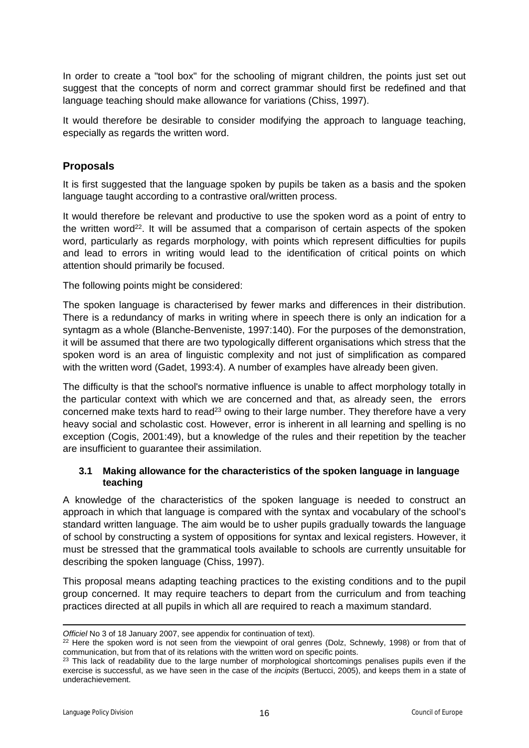In order to create a "tool box" for the schooling of migrant children, the points just set out suggest that the concepts of norm and correct grammar should first be redefined and that language teaching should make allowance for variations (Chiss, 1997).

It would therefore be desirable to consider modifying the approach to language teaching, especially as regards the written word.

## <span id="page-15-0"></span>**Proposals**

It is first suggested that the language spoken by pupils be taken as a basis and the spoken language taught according to a contrastive oral/written process.

It would therefore be relevant and productive to use the spoken word as a point of entry to the written word<sup>22</sup>. It will be assumed that a comparison of certain aspects of the spoken word, particularly as regards morphology, with points which represent difficulties for pupils and lead to errors in writing would lead to the identification of critical points on which attention should primarily be focused.

The following points might be considered:

The spoken language is characterised by fewer marks and differences in their distribution. There is a redundancy of marks in writing where in speech there is only an indication for a syntagm as a whole (Blanche-Benveniste, 1997:140). For the purposes of the demonstration, it will be assumed that there are two typologically different organisations which stress that the spoken word is an area of linguistic complexity and not just of simplification as compared with the written word (Gadet, 1993:4). A number of examples have already been given.

The difficulty is that the school's normative influence is unable to affect morphology totally in the particular context with which we are concerned and that, as already seen, the errors concerned make texts hard to read<sup>23</sup> owing to their large number. They therefore have a very heavy social and scholastic cost. However, error is inherent in all learning and spelling is no exception (Cogis, 2001:49), but a knowledge of the rules and their repetition by the teacher are insufficient to guarantee their assimilation.

#### <span id="page-15-1"></span>**3.1 Making allowance for the characteristics of the spoken language in language teaching**

A knowledge of the characteristics of the spoken language is needed to construct an approach in which that language is compared with the syntax and vocabulary of the school's standard written language. The aim would be to usher pupils gradually towards the language of school by constructing a system of oppositions for syntax and lexical registers. However, it must be stressed that the grammatical tools available to schools are currently unsuitable for describing the spoken language (Chiss, 1997).

This proposal means adapting teaching practices to the existing conditions and to the pupil group concerned. It may require teachers to depart from the curriculum and from teaching practices directed at all pupils in which all are required to reach a maximum standard.

*Officiel* No 3 of 18 January 2007, see appendix for continuation of text).

<sup>&</sup>lt;sup>22</sup> Here the spoken word is not seen from the viewpoint of oral genres (Dolz, Schnewly, 1998) or from that of communication, but from that of its relations with the written word on specific points.

<sup>&</sup>lt;sup>23</sup> This lack of readability due to the large number of morphological shortcomings penalises pupils even if the exercise is successful, as we have seen in the case of the *incipits* (Bertucci, 2005), and keeps them in a state of underachievement.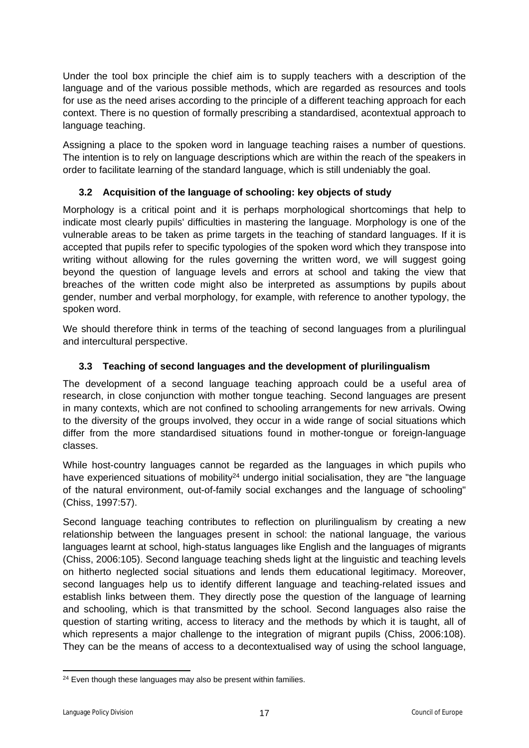Under the tool box principle the chief aim is to supply teachers with a description of the language and of the various possible methods, which are regarded as resources and tools for use as the need arises according to the principle of a different teaching approach for each context. There is no question of formally prescribing a standardised, acontextual approach to language teaching.

Assigning a place to the spoken word in language teaching raises a number of questions. The intention is to rely on language descriptions which are within the reach of the speakers in order to facilitate learning of the standard language, which is still undeniably the goal.

# <span id="page-16-0"></span>**3.2 Acquisition of the language of schooling: key objects of study**

Morphology is a critical point and it is perhaps morphological shortcomings that help to indicate most clearly pupils' difficulties in mastering the language. Morphology is one of the vulnerable areas to be taken as prime targets in the teaching of standard languages. If it is accepted that pupils refer to specific typologies of the spoken word which they transpose into writing without allowing for the rules governing the written word, we will suggest going beyond the question of language levels and errors at school and taking the view that breaches of the written code might also be interpreted as assumptions by pupils about gender, number and verbal morphology, for example, with reference to another typology, the spoken word.

We should therefore think in terms of the teaching of second languages from a plurilingual and intercultural perspective.

# <span id="page-16-1"></span>**3.3 Teaching of second languages and the development of plurilingualism**

The development of a second language teaching approach could be a useful area of research, in close conjunction with mother tongue teaching. Second languages are present in many contexts, which are not confined to schooling arrangements for new arrivals. Owing to the diversity of the groups involved, they occur in a wide range of social situations which differ from the more standardised situations found in mother-tongue or foreign-language classes.

While host-country languages cannot be regarded as the languages in which pupils who have experienced situations of mobility<sup>24</sup> undergo initial socialisation, they are "the language of the natural environment, out-of-family social exchanges and the language of schooling" (Chiss, 1997:57).

Second language teaching contributes to reflection on plurilingualism by creating a new relationship between the languages present in school: the national language, the various languages learnt at school, high-status languages like English and the languages of migrants (Chiss, 2006:105). Second language teaching sheds light at the linguistic and teaching levels on hitherto neglected social situations and lends them educational legitimacy. Moreover, second languages help us to identify different language and teaching-related issues and establish links between them. They directly pose the question of the language of learning and schooling, which is that transmitted by the school. Second languages also raise the question of starting writing, access to literacy and the methods by which it is taught, all of which represents a major challenge to the integration of migrant pupils (Chiss, 2006:108). They can be the means of access to a decontextualised way of using the school language,

<sup>&</sup>lt;sup>24</sup> Even though these languages may also be present within families.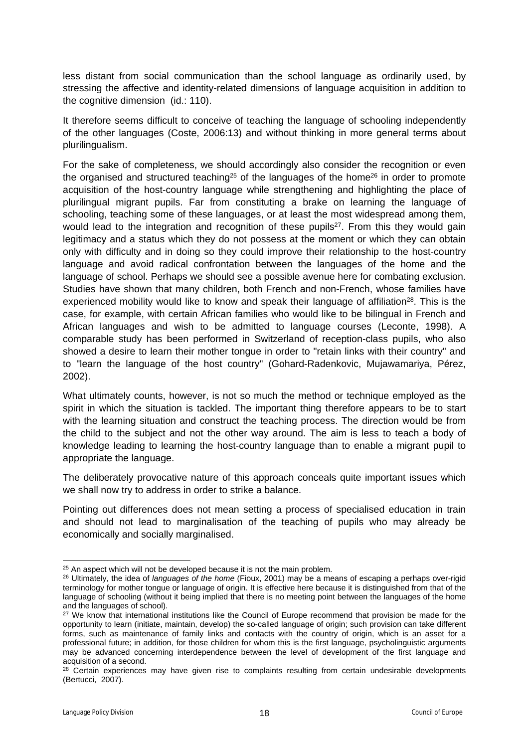less distant from social communication than the school language as ordinarily used, by stressing the affective and identity-related dimensions of language acquisition in addition to the cognitive dimension (id.: 110).

It therefore seems difficult to conceive of teaching the language of schooling independently of the other languages (Coste, 2006:13) and without thinking in more general terms about plurilingualism.

For the sake of completeness, we should accordingly also consider the recognition or even the organised and structured teaching<sup>25</sup> of the languages of the home<sup>26</sup> in order to promote acquisition of the host-country language while strengthening and highlighting the place of plurilingual migrant pupils. Far from constituting a brake on learning the language of schooling, teaching some of these languages, or at least the most widespread among them, would lead to the integration and recognition of these pupils<sup>27</sup>. From this they would gain legitimacy and a status which they do not possess at the moment or which they can obtain only with difficulty and in doing so they could improve their relationship to the host-country language and avoid radical confrontation between the languages of the home and the language of school. Perhaps we should see a possible avenue here for combating exclusion. Studies have shown that many children, both French and non-French, whose families have experienced mobility would like to know and speak their language of affiliation<sup>28</sup>. This is the case, for example, with certain African families who would like to be bilingual in French and African languages and wish to be admitted to language courses (Leconte, 1998). A comparable study has been performed in Switzerland of reception-class pupils, who also showed a desire to learn their mother tongue in order to "retain links with their country" and to "learn the language of the host country" (Gohard-Radenkovic, Mujawamariya, Pérez, 2002).

What ultimately counts, however, is not so much the method or technique employed as the spirit in which the situation is tackled. The important thing therefore appears to be to start with the learning situation and construct the teaching process. The direction would be from the child to the subject and not the other way around. The aim is less to teach a body of knowledge leading to learning the host-country language than to enable a migrant pupil to appropriate the language.

The deliberately provocative nature of this approach conceals quite important issues which we shall now try to address in order to strike a balance.

Pointing out differences does not mean setting a process of specialised education in train and should not lead to marginalisation of the teaching of pupils who may already be economically and socially marginalised.

<sup>&</sup>lt;sup>25</sup> An aspect which will not be developed because it is not the main problem.

<sup>26</sup> Ultimately, the idea of *languages of the home* (Fioux, 2001) may be a means of escaping a perhaps over-rigid terminology for mother tongue or language of origin. It is effective here because it is distinguished from that of the language of schooling (without it being implied that there is no meeting point between the languages of the home and the languages of school).

<sup>&</sup>lt;sup>27</sup> We know that international institutions like the Council of Europe recommend that provision be made for the opportunity to learn (initiate, maintain, develop) the so-called language of origin; such provision can take different forms, such as maintenance of family links and contacts with the country of origin, which is an asset for a professional future; in addition, for those children for whom this is the first language, psycholinguistic arguments may be advanced concerning interdependence between the level of development of the first language and acquisition of a second.

<sup>&</sup>lt;sup>28</sup> Certain experiences may have given rise to complaints resulting from certain undesirable developments (Bertucci, 2007).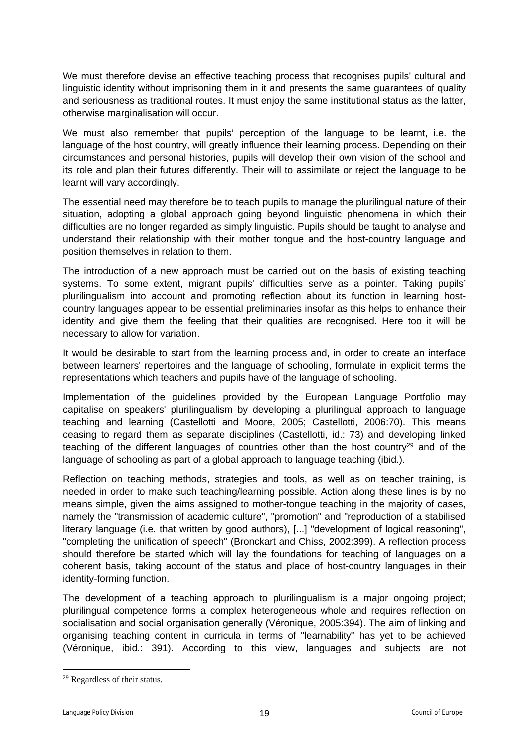We must therefore devise an effective teaching process that recognises pupils' cultural and linguistic identity without imprisoning them in it and presents the same guarantees of quality and seriousness as traditional routes. It must enjoy the same institutional status as the latter, otherwise marginalisation will occur.

We must also remember that pupils' perception of the language to be learnt, i.e. the language of the host country, will greatly influence their learning process. Depending on their circumstances and personal histories, pupils will develop their own vision of the school and its role and plan their futures differently. Their will to assimilate or reject the language to be learnt will vary accordingly.

The essential need may therefore be to teach pupils to manage the plurilingual nature of their situation, adopting a global approach going beyond linguistic phenomena in which their difficulties are no longer regarded as simply linguistic. Pupils should be taught to analyse and understand their relationship with their mother tongue and the host-country language and position themselves in relation to them.

The introduction of a new approach must be carried out on the basis of existing teaching systems. To some extent, migrant pupils' difficulties serve as a pointer. Taking pupils' plurilingualism into account and promoting reflection about its function in learning hostcountry languages appear to be essential preliminaries insofar as this helps to enhance their identity and give them the feeling that their qualities are recognised. Here too it will be necessary to allow for variation.

It would be desirable to start from the learning process and, in order to create an interface between learners' repertoires and the language of schooling, formulate in explicit terms the representations which teachers and pupils have of the language of schooling.

Implementation of the guidelines provided by the European Language Portfolio may capitalise on speakers' plurilingualism by developing a plurilingual approach to language teaching and learning (Castellotti and Moore, 2005; Castellotti, 2006:70). This means ceasing to regard them as separate disciplines (Castellotti, id.: 73) and developing linked teaching of the different languages of countries other than the host country<sup>29</sup> and of the language of schooling as part of a global approach to language teaching (ibid.).

Reflection on teaching methods, strategies and tools, as well as on teacher training, is needed in order to make such teaching/learning possible. Action along these lines is by no means simple, given the aims assigned to mother-tongue teaching in the majority of cases, namely the "transmission of academic culture", "promotion" and "reproduction of a stabilised literary language (i.e. that written by good authors), [...] "development of logical reasoning", "completing the unification of speech" (Bronckart and Chiss, 2002:399). A reflection process should therefore be started which will lay the foundations for teaching of languages on a coherent basis, taking account of the status and place of host-country languages in their identity-forming function.

The development of a teaching approach to plurilingualism is a major ongoing project; plurilingual competence forms a complex heterogeneous whole and requires reflection on socialisation and social organisation generally (Véronique, 2005:394). The aim of linking and organising teaching content in curricula in terms of "learnability" has yet to be achieved (Véronique, ibid.: 391). According to this view, languages and subjects are not

<sup>29</sup> Regardless of their status.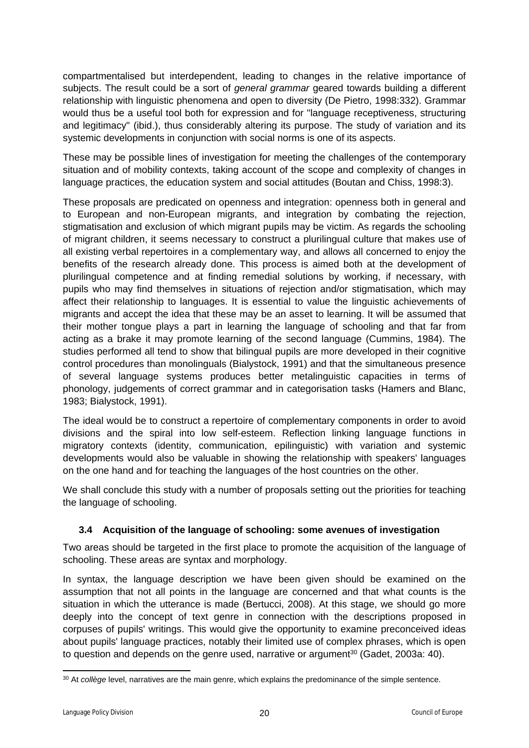compartmentalised but interdependent, leading to changes in the relative importance of subjects. The result could be a sort of *general grammar* geared towards building a different relationship with linguistic phenomena and open to diversity (De Pietro, 1998:332). Grammar would thus be a useful tool both for expression and for "language receptiveness, structuring and legitimacy" (ibid.), thus considerably altering its purpose. The study of variation and its systemic developments in conjunction with social norms is one of its aspects.

These may be possible lines of investigation for meeting the challenges of the contemporary situation and of mobility contexts, taking account of the scope and complexity of changes in language practices, the education system and social attitudes (Boutan and Chiss, 1998:3).

These proposals are predicated on openness and integration: openness both in general and to European and non-European migrants, and integration by combating the rejection, stigmatisation and exclusion of which migrant pupils may be victim. As regards the schooling of migrant children, it seems necessary to construct a plurilingual culture that makes use of all existing verbal repertoires in a complementary way, and allows all concerned to enjoy the benefits of the research already done. This process is aimed both at the development of plurilingual competence and at finding remedial solutions by working, if necessary, with pupils who may find themselves in situations of rejection and/or stigmatisation, which may affect their relationship to languages. It is essential to value the linguistic achievements of migrants and accept the idea that these may be an asset to learning. It will be assumed that their mother tongue plays a part in learning the language of schooling and that far from acting as a brake it may promote learning of the second language (Cummins, 1984). The studies performed all tend to show that bilingual pupils are more developed in their cognitive control procedures than monolinguals (Bialystock, 1991) and that the simultaneous presence of several language systems produces better metalinguistic capacities in terms of phonology, judgements of correct grammar and in categorisation tasks (Hamers and Blanc, 1983; Bialystock, 1991).

The ideal would be to construct a repertoire of complementary components in order to avoid divisions and the spiral into low self-esteem. Reflection linking language functions in migratory contexts (identity, communication, epilinguistic) with variation and systemic developments would also be valuable in showing the relationship with speakers' languages on the one hand and for teaching the languages of the host countries on the other.

We shall conclude this study with a number of proposals setting out the priorities for teaching the language of schooling.

## <span id="page-19-0"></span>**3.4 Acquisition of the language of schooling: some avenues of investigation**

Two areas should be targeted in the first place to promote the acquisition of the language of schooling. These areas are syntax and morphology.

In syntax, the language description we have been given should be examined on the assumption that not all points in the language are concerned and that what counts is the situation in which the utterance is made (Bertucci, 2008). At this stage, we should go more deeply into the concept of text genre in connection with the descriptions proposed in corpuses of pupils' writings. This would give the opportunity to examine preconceived ideas about pupils' language practices, notably their limited use of complex phrases, which is open to question and depends on the genre used, narrative or argument<sup>30</sup> (Gadet, 2003a: 40).

<sup>30</sup> At *collège* level, narratives are the main genre, which explains the predominance of the simple sentence.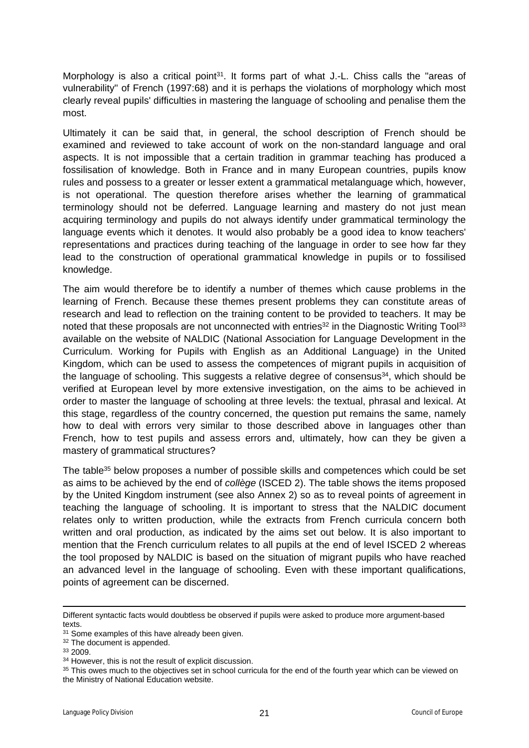Morphology is also a critical point<sup>31</sup>. It forms part of what J.-L. Chiss calls the "areas of vulnerability" of French (1997:68) and it is perhaps the violations of morphology which most clearly reveal pupils' difficulties in mastering the language of schooling and penalise them the most.

Ultimately it can be said that, in general, the school description of French should be examined and reviewed to take account of work on the non-standard language and oral aspects. It is not impossible that a certain tradition in grammar teaching has produced a fossilisation of knowledge. Both in France and in many European countries, pupils know rules and possess to a greater or lesser extent a grammatical metalanguage which, however, is not operational. The question therefore arises whether the learning of grammatical terminology should not be deferred. Language learning and mastery do not just mean acquiring terminology and pupils do not always identify under grammatical terminology the language events which it denotes. It would also probably be a good idea to know teachers' representations and practices during teaching of the language in order to see how far they lead to the construction of operational grammatical knowledge in pupils or to fossilised knowledge.

The aim would therefore be to identify a number of themes which cause problems in the learning of French. Because these themes present problems they can constitute areas of research and lead to reflection on the training content to be provided to teachers. It may be noted that these proposals are not unconnected with entries<sup>32</sup> in the Diagnostic Writing Tool<sup>33</sup> available on the website of NALDIC (National Association for Language Development in the Curriculum. Working for Pupils with English as an Additional Language) in the United Kingdom, which can be used to assess the competences of migrant pupils in acquisition of the language of schooling. This suggests a relative degree of consensus<sup>34</sup>, which should be verified at European level by more extensive investigation, on the aims to be achieved in order to master the language of schooling at three levels: the textual, phrasal and lexical. At this stage, regardless of the country concerned, the question put remains the same, namely how to deal with errors very similar to those described above in languages other than French, how to test pupils and assess errors and, ultimately, how can they be given a mastery of grammatical structures?

The table<sup>35</sup> below proposes a number of possible skills and competences which could be set as aims to be achieved by the end of *collège* (ISCED 2). The table shows the items proposed by the United Kingdom instrument (see also Annex 2) so as to reveal points of agreement in teaching the language of schooling. It is important to stress that the NALDIC document relates only to written production, while the extracts from French curricula concern both written and oral production, as indicated by the aims set out below. It is also important to mention that the French curriculum relates to all pupils at the end of level ISCED 2 whereas the tool proposed by NALDIC is based on the situation of migrant pupils who have reached an advanced level in the language of schooling. Even with these important qualifications, points of agreement can be discerned.

Different syntactic facts would doubtless be observed if pupils were asked to produce more argument-based texts.

<sup>&</sup>lt;sup>31</sup> Some examples of this have already been given.

<sup>32</sup> The document is appended.

<sup>33</sup> 2009.

<sup>&</sup>lt;sup>34</sup> However, this is not the result of explicit discussion.

<sup>&</sup>lt;sup>35</sup> This owes much to the objectives set in school curricula for the end of the fourth year which can be viewed on the Ministry of National Education website.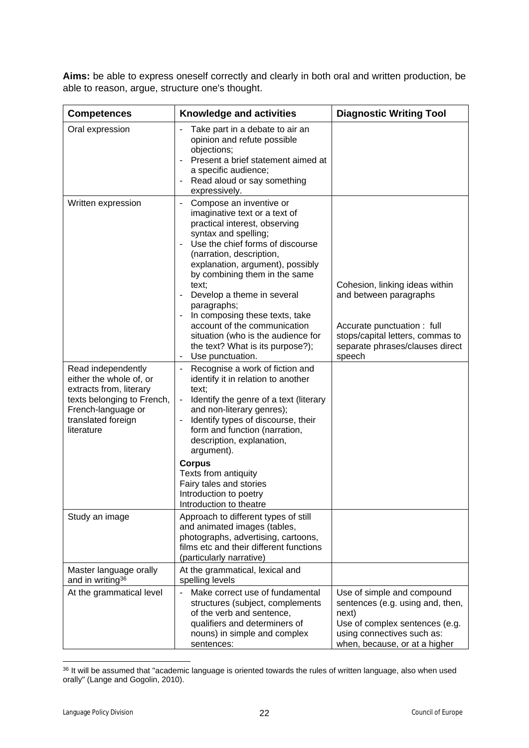**Aims:** be able to express oneself correctly and clearly in both oral and written production, be able to reason, argue, structure one's thought.

| <b>Competences</b>                                                                                                                                               | <b>Knowledge and activities</b>                                                                                                                                                                                                                                                                                                                                                                                                                                                                                            | <b>Diagnostic Writing Tool</b>                                                                                                                                           |
|------------------------------------------------------------------------------------------------------------------------------------------------------------------|----------------------------------------------------------------------------------------------------------------------------------------------------------------------------------------------------------------------------------------------------------------------------------------------------------------------------------------------------------------------------------------------------------------------------------------------------------------------------------------------------------------------------|--------------------------------------------------------------------------------------------------------------------------------------------------------------------------|
| Oral expression                                                                                                                                                  | Take part in a debate to air an<br>opinion and refute possible<br>objections;<br>Present a brief statement aimed at<br>$\sim$<br>a specific audience;<br>Read aloud or say something<br>expressively.                                                                                                                                                                                                                                                                                                                      |                                                                                                                                                                          |
| Written expression                                                                                                                                               | Compose an inventive or<br>$\overline{\phantom{a}}$<br>imaginative text or a text of<br>practical interest, observing<br>syntax and spelling;<br>Use the chief forms of discourse<br>$\blacksquare$<br>(narration, description,<br>explanation, argument), possibly<br>by combining them in the same<br>text;<br>Develop a theme in several<br>paragraphs;<br>In composing these texts, take<br>account of the communication<br>situation (who is the audience for<br>the text? What is its purpose?);<br>Use punctuation. | Cohesion, linking ideas within<br>and between paragraphs<br>Accurate punctuation : full<br>stops/capital letters, commas to<br>separate phrases/clauses direct<br>speech |
| Read independently<br>either the whole of, or<br>extracts from, literary<br>texts belonging to French,<br>French-language or<br>translated foreign<br>literature | Recognise a work of fiction and<br>identify it in relation to another<br>text;<br>Identify the genre of a text (literary<br>$\blacksquare$<br>and non-literary genres);<br>Identify types of discourse, their<br>form and function (narration,<br>description, explanation,<br>argument).<br><b>Corpus</b><br>Texts from antiquity<br>Fairy tales and stories<br>Introduction to poetry<br>Introduction to theatre                                                                                                         |                                                                                                                                                                          |
| Study an image                                                                                                                                                   | Approach to different types of still<br>and animated images (tables,<br>photographs, advertising, cartoons,<br>films etc and their different functions<br>(particularly narrative)                                                                                                                                                                                                                                                                                                                                         |                                                                                                                                                                          |
| Master language orally<br>and in writing <sup>36</sup>                                                                                                           | At the grammatical, lexical and<br>spelling levels                                                                                                                                                                                                                                                                                                                                                                                                                                                                         |                                                                                                                                                                          |
| At the grammatical level                                                                                                                                         | Make correct use of fundamental<br>$\blacksquare$<br>structures (subject, complements<br>of the verb and sentence,<br>qualifiers and determiners of<br>nouns) in simple and complex<br>sentences:                                                                                                                                                                                                                                                                                                                          | Use of simple and compound<br>sentences (e.g. using and, then,<br>next)<br>Use of complex sentences (e.g.<br>using connectives such as:<br>when, because, or at a higher |

<sup>36</sup> It will be assumed that "academic language is oriented towards the rules of written language, also when used orally" (Lange and Gogolin, 2010).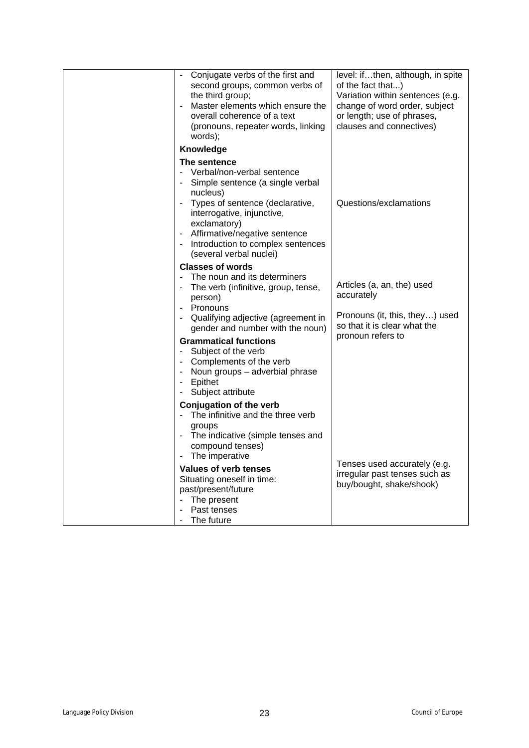| Conjugate verbs of the first and<br>second groups, common verbs of<br>the third group;<br>Master elements which ensure the<br>$\blacksquare$<br>overall coherence of a text<br>(pronouns, repeater words, linking<br>words);                                                                             | level: ifthen, although, in spite<br>of the fact that)<br>Variation within sentences (e.g.<br>change of word order, subject<br>or length; use of phrases,<br>clauses and connectives) |
|----------------------------------------------------------------------------------------------------------------------------------------------------------------------------------------------------------------------------------------------------------------------------------------------------------|---------------------------------------------------------------------------------------------------------------------------------------------------------------------------------------|
| Knowledge                                                                                                                                                                                                                                                                                                |                                                                                                                                                                                       |
| The sentence<br>Verbal/non-verbal sentence<br>Simple sentence (a single verbal<br>nucleus)<br>Types of sentence (declarative,<br>interrogative, injunctive,<br>exclamatory)<br>Affirmative/negative sentence<br>Introduction to complex sentences<br>$\overline{\phantom{a}}$<br>(several verbal nuclei) | Questions/exclamations                                                                                                                                                                |
| <b>Classes of words</b>                                                                                                                                                                                                                                                                                  |                                                                                                                                                                                       |
| The noun and its determiners<br>The verb (infinitive, group, tense,<br>person)<br>Pronouns<br>$\overline{\phantom{a}}$                                                                                                                                                                                   | Articles (a, an, the) used<br>accurately                                                                                                                                              |
| Qualifying adjective (agreement in<br>gender and number with the noun)                                                                                                                                                                                                                                   | Pronouns (it, this, they) used<br>so that it is clear what the                                                                                                                        |
| <b>Grammatical functions</b><br>Subject of the verb<br>$\blacksquare$<br>- Complements of the verb<br>- Noun groups - adverbial phrase<br>Epithet<br>$\overline{\phantom{a}}$<br>Subject attribute                                                                                                       | pronoun refers to                                                                                                                                                                     |
| <b>Conjugation of the verb</b><br>- The infinitive and the three verb<br>groups<br>- The indicative (simple tenses and<br>compound tenses)<br>The imperative<br>$\qquad \qquad \blacksquare$                                                                                                             |                                                                                                                                                                                       |
| <b>Values of verb tenses</b><br>Situating oneself in time:<br>past/present/future<br>The present<br>$\overline{\phantom{a}}$<br>Past tenses<br>The future<br>$\qquad \qquad \blacksquare$                                                                                                                | Tenses used accurately (e.g.<br>irregular past tenses such as<br>buy/bought, shake/shook)                                                                                             |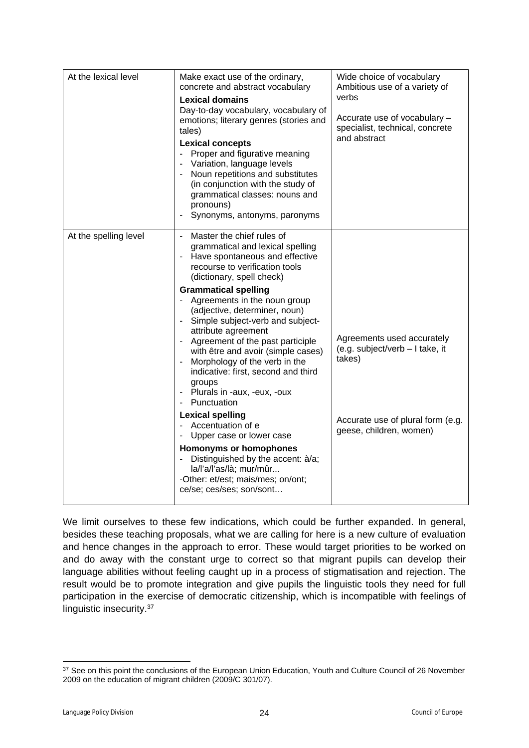| At the lexical level  | Make exact use of the ordinary,<br>concrete and abstract vocabulary<br><b>Lexical domains</b><br>Day-to-day vocabulary, vocabulary of<br>emotions; literary genres (stories and<br>tales)<br><b>Lexical concepts</b><br>- Proper and figurative meaning<br>- Variation, language levels<br>- Noun repetitions and substitutes<br>(in conjunction with the study of<br>grammatical classes: nouns and<br>pronouns)<br>Synonyms, antonyms, paronyms                                                                                                                                                                                                                                                                                                                                                    | Wide choice of vocabulary<br>Ambitious use of a variety of<br>verbs<br>Accurate use of vocabulary -<br>specialist, technical, concrete<br>and abstract |
|-----------------------|------------------------------------------------------------------------------------------------------------------------------------------------------------------------------------------------------------------------------------------------------------------------------------------------------------------------------------------------------------------------------------------------------------------------------------------------------------------------------------------------------------------------------------------------------------------------------------------------------------------------------------------------------------------------------------------------------------------------------------------------------------------------------------------------------|--------------------------------------------------------------------------------------------------------------------------------------------------------|
| At the spelling level | Master the chief rules of<br>$\sim$<br>grammatical and lexical spelling<br>- Have spontaneous and effective<br>recourse to verification tools<br>(dictionary, spell check)<br><b>Grammatical spelling</b><br>- Agreements in the noun group<br>(adjective, determiner, noun)<br>- Simple subject-verb and subject-<br>attribute agreement<br>- Agreement of the past participle<br>with être and avoir (simple cases)<br>- Morphology of the verb in the<br>indicative: first, second and third<br>groups<br>- Plurals in -aux, -eux, -oux<br>- Punctuation<br><b>Lexical spelling</b><br>- Accentuation of e<br>Upper case or lower case<br>Homonyms or homophones<br>Distinguished by the accent: à/a;<br>la/l'a/l'as/là; mur/mûr<br>-Other: et/est; mais/mes; on/ont;<br>ce/se; ces/ses; son/sont | Agreements used accurately<br>(e.g. subject/verb - I take, it<br>takes)<br>Accurate use of plural form (e.g.<br>geese, children, women)                |

We limit ourselves to these few indications, which could be further expanded. In general, besides these teaching proposals, what we are calling for here is a new culture of evaluation and hence changes in the approach to error. These would target priorities to be worked on and do away with the constant urge to correct so that migrant pupils can develop their language abilities without feeling caught up in a process of stigmatisation and rejection. The result would be to promote integration and give pupils the linguistic tools they need for full participation in the exercise of democratic citizenship, which is incompatible with feelings of linguistic insecurity.<sup>37</sup>

<sup>37</sup> See on this point the conclusions of the European Union Education, Youth and Culture Council of 26 November 2009 on the education of migrant children (2009/C 301/07).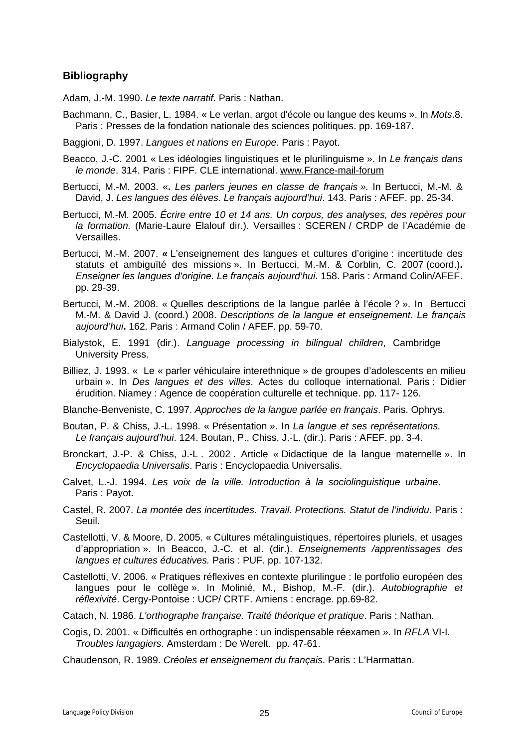## <span id="page-24-0"></span>**Bibliography**

Adam, J.-M. 1990. *Le texte narratif*. Paris : Nathan.

Bachmann, C., Basier, L. 1984. « Le verlan, argot d'école ou langue des keums ». In *Mots*.8. Paris : Presses de la fondation nationale des sciences politiques. pp. 169-187.

Baggioni, D. 1997. *Langues et nations en Europe*. Paris : Payot.

- Beacco, J.-C. 2001 « Les idéologies linguistiques et le plurilinguisme ». In *Le français dans le monde*. 314. Paris : FIPF. CLE international. [www.France-mail-forum](http://www.france-mail-forum/)
- Bertucci, M.-M. 2003. «**.** *Les parlers jeunes en classe de français ».* In Bertucci, M.-M. & David, J. *Les langues des élèves*. *Le français aujourd'hui*. 143. Paris : AFEF. pp. 25-34.
- Bertucci, M.-M. 2005. *Écrire entre 10 et 14 ans. Un corpus, des analyses, des repères pour la formation.* (Marie-Laure Elalouf dir.). Versailles : SCEREN / CRDP de l'Académie de Versailles.
- Bertucci, M.-M. 2007. **«** L'enseignement des langues et cultures d'origine : incertitude des statuts et ambiguïté des missions ». In Bertucci, M.-M. & Corblin, C. 2007 (coord.)**.** *Enseigner les langues d'origine. Le français aujourd'hui*. 158. Paris : Armand Colin/AFEF. pp. 29-39.
- Bertucci, M.-M. 2008. « Quelles descriptions de la langue parlée à l'école ? ». In Bertucci M.-M. & David J. (coord.) 2008. *Descriptions de la langue et enseignement*. *Le français aujourd'hui***.** 162. Paris : Armand Colin / AFEF. pp. 59-70.
- Bialystok, E. 1991 (dir.). *Language processing in bilingual children*, Cambridge University Press.
- Billiez, J. 1993. « Le « parler véhiculaire interethnique » de groupes d'adolescents en milieu urbain ». In *Des langues et des villes*. Actes du colloque international. Paris : Didier érudition. Niamey : Agence de coopération culturelle et technique. pp. 117- 126.

Blanche-Benveniste, C. 1997. *Approches de la langue parlée en français*. Paris. Ophrys.

Boutan, P. & Chiss, J.-L. 1998. « Présentation ». In *La langue et ses représentations. Le français aujourd'hui*. 124. Boutan, P., Chiss, J.-L. (dir.). Paris : AFEF. pp. 3-4.

- Bronckart, J.-P. & Chiss, J.-L . 2002 . Article « Didactique de la langue maternelle ». In *Encyclopaedia Universalis*. Paris : Encyclopaedia Universalis.
- Calvet, L.-J. 1994. *Les voix de la ville. Introduction à la sociolinguistique urbaine*. Paris : Payot.
- Castel, R. 2007. *La montée des incertitudes. Travail. Protections. Statut de l'individu*. Paris : Seuil.

Castellotti, V. & Moore, D. 2005. « Cultures métalinguistiques, répertoires pluriels, et usages d'appropriation ». In Beacco, J.-C. et al. (dir.). *Enseignements /apprentissages des langues et cultures éducatives.* Paris : PUF. pp. 107-132.

- Castellotti, V. 2006. « Pratiques réflexives en contexte plurilingue : le portfolio européen des langues pour le collège ». In Molinié, M., Bishop, M.-F. (dir.). *Autobiographie et réflexivité*. Cergy-Pontoise : UCP/ CRTF. Amiens : encrage. pp.69-82.
- Catach, N. 1986. *L'orthographe française. Traité théorique et pratique*. Paris : Nathan.
- Cogis, D. 2001. « Difficultés en orthographe : un indispensable réexamen ». In *RFLA* VI-I. *Troubles langagiers*. Amsterdam : De Werelt. pp. 47-61.
- Chaudenson, R. 1989. *Créoles et enseignement du français*. Paris : L'Harmattan.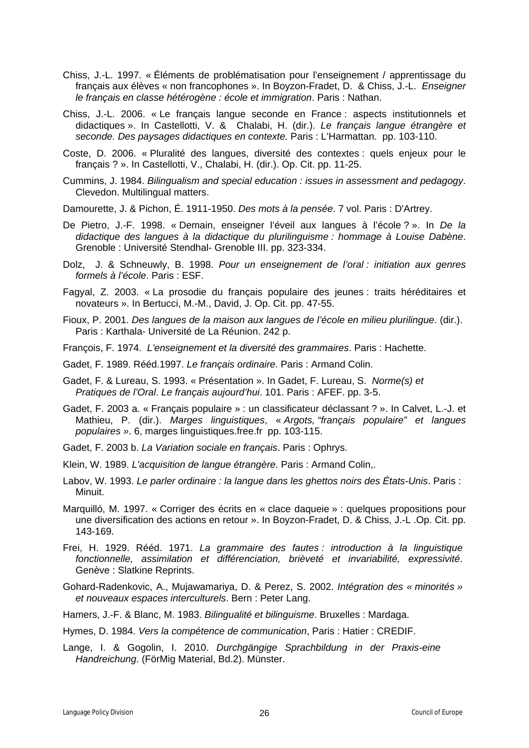- Chiss, J.-L. 1997. « Éléments de problématisation pour l'enseignement / apprentissage du français aux élèves « non francophones ». In Boyzon-Fradet, D. & Chiss, J.-L. *Enseigner le français en classe hétérogène : école et immigration*. Paris : Nathan.
- Chiss, J.-L. 2006. « Le français langue seconde en France : aspects institutionnels et didactiques ». In Castellotti, V. & Chalabi, H. (dir.). *Le français langue étrangère et seconde. Des paysages didactiques en contexte.* Paris : L'Harmattan. pp. 103-110.
- Coste, D. 2006. « Pluralité des langues, diversité des contextes : quels enjeux pour le français ? ». In Castellotti, V., Chalabi, H. (dir.). Op. Cit. pp. 11-25.
- Cummins, J. 1984. *Bilingualism and special education : issues in assessment and pedagogy*. Clevedon. Multilingual matters.
- Damourette, J. & Pichon, É. 1911-1950. *Des mots à la pensée*. 7 vol. Paris : D'Artrey.
- De Pietro, J.-F. 1998. « Demain, enseigner l'éveil aux langues à l'école ? ». In *De la didactique des langues à la didactique du plurilinguisme : hommage à Louise Dabène*. Grenoble : Université Stendhal- Grenoble III. pp. 323-334.
- Dolz, J. & Schneuwly, B. 1998. *Pour un enseignement de l'oral : initiation aux genres formels à l'école*. Paris : ESF.
- Fagyal, Z. 2003. « La prosodie du français populaire des jeunes : traits héréditaires et novateurs ». In Bertucci, M.-M., David, J. Op. Cit. pp. 47-55.
- Fioux, P. 2001. *Des langues de la maison aux langues de l'école en milieu plurilingue*. (dir.). Paris : Karthala- Université de La Réunion. 242 p.
- François, F. 1974. *L'enseignement et la diversité des grammaires*. Paris : Hachette.
- Gadet, F. 1989. Rééd.1997. *Le français ordinaire*. Paris : Armand Colin.
- Gadet, F. & Lureau, S. 1993. « Présentation ». In Gadet, F. Lureau, S. *Norme(s) et Pratiques de l'Oral*. *Le français aujourd'hui*. 101. Paris : AFEF. pp. 3-5.
- Gadet, F. 2003 a. « Français populaire » : un classificateur déclassant ? ». In Calvet, L.-J. et Mathieu, P. (dir.). *Marges linguistiques*, « *Argots, "français populaire" et langues populaires »*. 6, marges linguistiques.free.fr pp. 103-115.
- Gadet, F. 2003 b. *La Variation sociale en français*. Paris : Ophrys.
- Klein, W. 1989. *L'acquisition de langue étrangère*. Paris : Armand Colin,.
- Labov, W. 1993. *Le parler ordinaire : la langue dans les ghettos noirs des États-Unis*. Paris : Minuit.
- Marquilló, M. 1997. « Corriger des écrits en « clace daqueie » : quelques propositions pour une diversification des actions en retour ». In Boyzon-Fradet, D. & Chiss, J.-L .Op. Cit. pp. 143-169.
- Frei, H. 1929. Rééd. 1971. *La grammaire des fautes : introduction à la linguistique fonctionnelle, assimilation et différenciation, brièveté et invariabilité, expressivité*. Genève : Slatkine Reprints.
- Gohard-Radenkovic, A., Mujawamariya, D. & Perez, S. 2002. *Intégration des « minorités » et nouveaux espaces interculturels*. Bern : Peter Lang.

Hamers, J.-F. & Blanc, M. 1983. *Bilingualité et bilinguisme*. Bruxelles : Mardaga.

- Hymes, D. 1984. *Vers la compétence de communication*, Paris : Hatier : CREDIF.
- Lange, I. & Gogolin, I. 2010. *Durchgängige Sprachbildung in der Praxis-eine Handreichung*. (FörMig Material, Bd.2). Münster.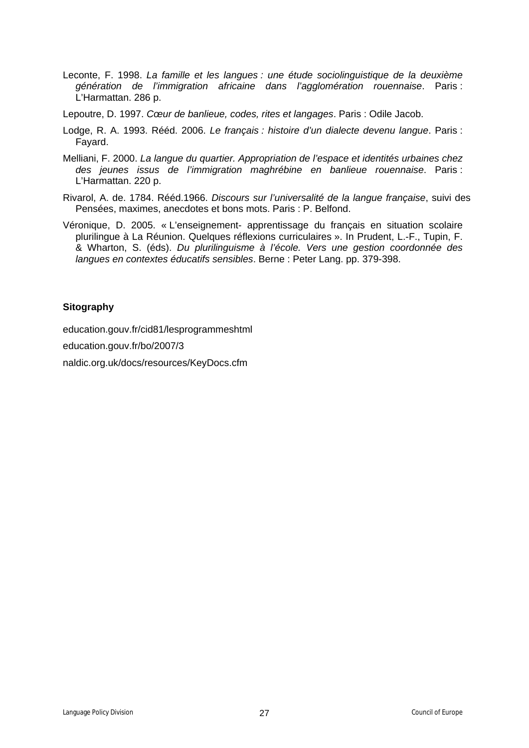- Leconte, F. 1998. *La famille et les langues : une étude sociolinguistique de la deuxième génération de l'immigration africaine dans l'agglomération rouennaise*. Paris : L'Harmattan. 286 p.
- Lepoutre, D. 1997. *Cœur de banlieue, codes, rites et langages*. Paris : Odile Jacob.
- Lodge, R. A. 1993. Rééd. 2006. *Le français : histoire d'un dialecte devenu langue*. Paris : Fayard.
- Melliani, F. 2000. *La langue du quartier. Appropriation de l'espace et identités urbaines chez des jeunes issus de l'immigration maghrébine en banlieue rouennaise*. Paris : L'Harmattan. 220 p.
- Rivarol, A. de. 1784. Rééd.1966. *Discours sur l'universalité de la langue française*, suivi des Pensées, maximes, anecdotes et bons mots. Paris : P. Belfond.
- Véronique, D. 2005. « L'enseignement- apprentissage du français en situation scolaire plurilingue à La Réunion. Quelques réflexions curriculaires ». In Prudent, L.-F., Tupin, F. & Wharton, S. (éds). *Du plurilinguisme à l'école. Vers une gestion coordonnée des langues en contextes éducatifs sensibles*. Berne : Peter Lang. pp. 379-398.

#### **Sitography**

education.gouv.fr/cid81/lesprogrammeshtml

education.gouv.fr/bo/2007/3

naldic.org.uk/docs/resources/KeyDocs.cfm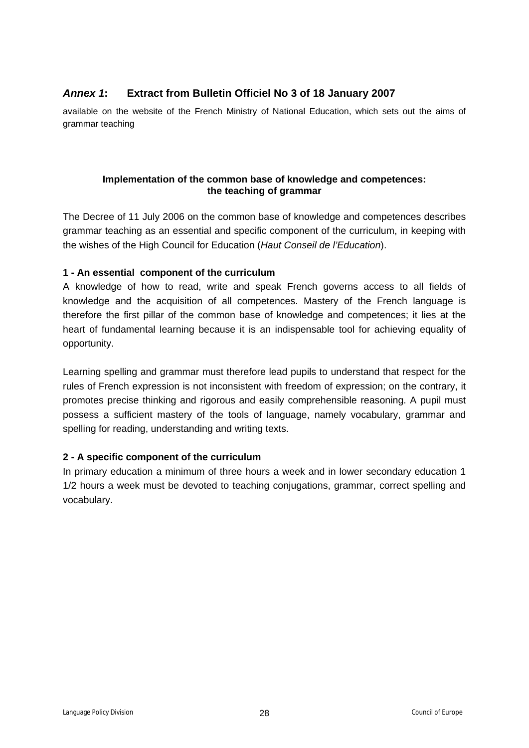# <span id="page-27-0"></span>*Annex 1***: Extract from Bulletin Officiel No 3 of 18 January 2007**

available on the website of the French Ministry of National Education, which sets out the aims of grammar teaching

#### **Implementation of the common base of knowledge and competences: the teaching of grammar**

The Decree of 11 July 2006 on the common base of knowledge and competences describes grammar teaching as an essential and specific component of the curriculum, in keeping with the wishes of the High Council for Education (*Haut Conseil de l'Education*).

#### **1 - An essential component of the curriculum**

A knowledge of how to read, write and speak French governs access to all fields of knowledge and the acquisition of all competences. Mastery of the French language is therefore the first pillar of the common base of knowledge and competences; it lies at the heart of fundamental learning because it is an indispensable tool for achieving equality of opportunity.

Learning spelling and grammar must therefore lead pupils to understand that respect for the rules of French expression is not inconsistent with freedom of expression; on the contrary, it promotes precise thinking and rigorous and easily comprehensible reasoning. A pupil must possess a sufficient mastery of the tools of language, namely vocabulary, grammar and spelling for reading, understanding and writing texts.

## **2 - A specific component of the curriculum**

In primary education a minimum of three hours a week and in lower secondary education 1 1/2 hours a week must be devoted to teaching conjugations, grammar, correct spelling and vocabulary.